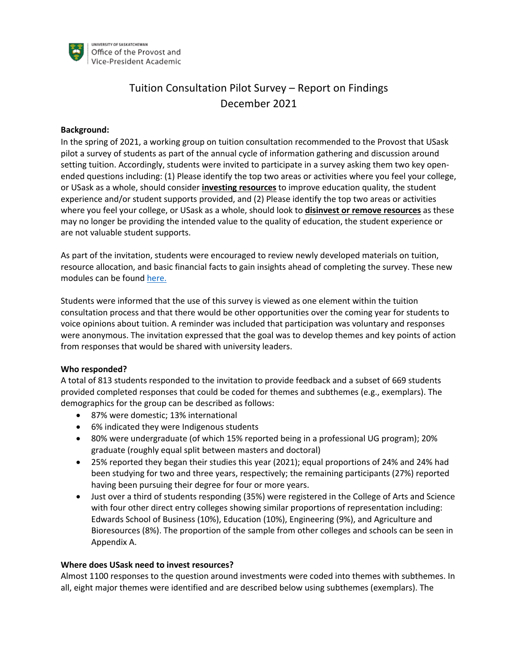

# Tuition Consultation Pilot Survey – Report on Findings December 2021

#### **Background:**

In the spring of 2021, a working group on tuition consultation recommended to the Provost that USask pilot a survey of students as part of the annual cycle of information gathering and discussion around setting tuition. Accordingly, students were invited to participate in a survey asking them two key openended questions including: (1) Please identify the top two areas or activities where you feel your college, or USask as a whole, should consider **investing resources** to improve education quality, the student experience and/or student supports provided, and (2) Please identify the top two areas or activities where you feel your college, or USask as a whole, should look to **disinvest or remove resources** as these may no longer be providing the intended value to the quality of education, the student experience or are not valuable student supports.

As part of the invitation, students were encouraged to review newly developed materials on tuition, resource allocation, and basic financial facts to gain insights ahead of completing the survey. These new modules can be found here.

Students were informed that the use of this survey is viewed as one element within the tuition consultation process and that there would be other opportunities over the coming year for students to voice opinions about tuition. A reminder was included that participation was voluntary and responses were anonymous. The invitation expressed that the goal was to develop themes and key points of action from responses that would be shared with university leaders.

### **Who responded?**

A total of 813 students responded to the invitation to provide feedback and a subset of 669 students provided completed responses that could be coded for themes and subthemes (e.g., exemplars). The demographics for the group can be described as follows:

- 87% were domestic; 13% international
- 6% indicated they were Indigenous students
- 80% were undergraduate (of which 15% reported being in a professional UG program); 20% graduate (roughly equal split between masters and doctoral)
- 25% reported they began their studies this year (2021); equal proportions of 24% and 24% had been studying for two and three years, respectively; the remaining participants (27%) reported having been pursuing their degree for four or more years.
- Just over a third of students responding (35%) were registered in the College of Arts and Science with four other direct entry colleges showing similar proportions of representation including: Edwards School of Business (10%), Education (10%), Engineering (9%), and Agriculture and Bioresources (8%). The proportion of the sample from other colleges and schools can be seen in Appendix A.

### **Where does USask need to invest resources?**

Almost 1100 responses to the question around investments were coded into themes with subthemes. In all, eight major themes were identified and are described below using subthemes (exemplars). The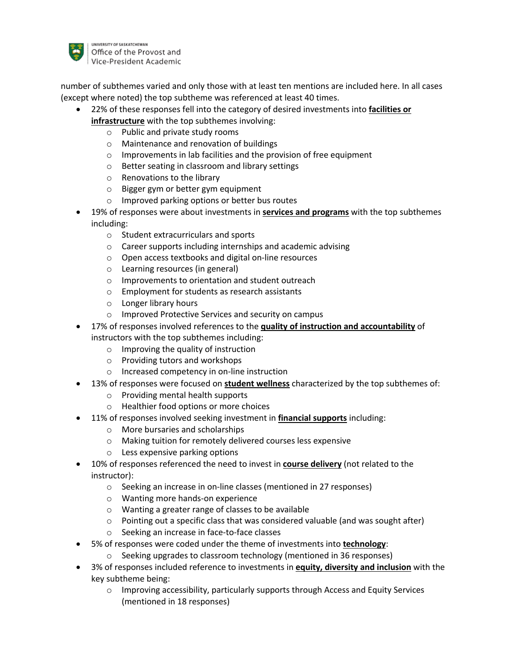

number of subthemes varied and only those with at least ten mentions are included here. In all cases (except where noted) the top subtheme was referenced at least 40 times.

- 22% of these responses fell into the category of desired investments into **facilities or infrastructure** with the top subthemes involving:
	- o Public and private study rooms
	- o Maintenance and renovation of buildings
	- o Improvements in lab facilities and the provision of free equipment
	- o Better seating in classroom and library settings
	- o Renovations to the library
	- o Bigger gym or better gym equipment
	- o Improved parking options or better bus routes
- 19% of responses were about investments in **services and programs** with the top subthemes including:
	- o Student extracurriculars and sports
	- o Career supports including internships and academic advising
	- o Open access textbooks and digital on-line resources
	- o Learning resources (in general)
	- o Improvements to orientation and student outreach
	- o Employment for students as research assistants
	- o Longer library hours
	- o Improved Protective Services and security on campus
- 17% of responses involved references to the **quality of instruction and accountability** of instructors with the top subthemes including:
	- o Improving the quality of instruction
	- o Providing tutors and workshops
	- o Increased competency in on-line instruction
- 13% of responses were focused on **student wellness** characterized by the top subthemes of:
	- o Providing mental health supports
	- o Healthier food options or more choices
- 11% of responses involved seeking investment in **financial supports** including:
	- o More bursaries and scholarships
	- o Making tuition for remotely delivered courses less expensive
	- o Less expensive parking options
- 10% of responses referenced the need to invest in **course delivery** (not related to the instructor):
	- o Seeking an increase in on-line classes (mentioned in 27 responses)
	- o Wanting more hands-on experience
	- o Wanting a greater range of classes to be available
	- $\circ$  Pointing out a specific class that was considered valuable (and was sought after)
	- o Seeking an increase in face-to-face classes
- 5% of responses were coded under the theme of investments into **technology**:
	- o Seeking upgrades to classroom technology (mentioned in 36 responses)
- 3% of responses included reference to investments in **equity, diversity and inclusion** with the key subtheme being:
	- o Improving accessibility, particularly supports through Access and Equity Services (mentioned in 18 responses)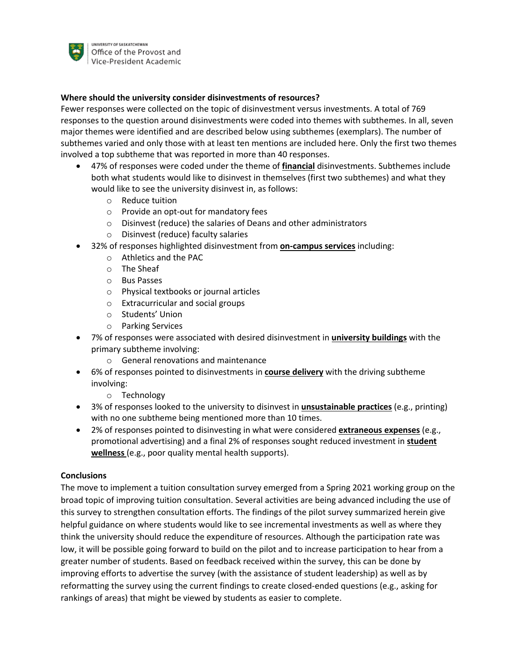

### **Where should the university consider disinvestments of resources?**

Fewer responses were collected on the topic of disinvestment versus investments. A total of 769 responses to the question around disinvestments were coded into themes with subthemes. In all, seven major themes were identified and are described below using subthemes (exemplars). The number of subthemes varied and only those with at least ten mentions are included here. Only the first two themes involved a top subtheme that was reported in more than 40 responses.

- 47% of responses were coded under the theme of **financial** disinvestments. Subthemes include both what students would like to disinvest in themselves (first two subthemes) and what they would like to see the university disinvest in, as follows:
	- o Reduce tuition
	- o Provide an opt-out for mandatory fees
	- o Disinvest (reduce) the salaries of Deans and other administrators
	- o Disinvest (reduce) faculty salaries
- 32% of responses highlighted disinvestment from **on-campus services** including:
	- o Athletics and the PAC
	- o The Sheaf
	- o Bus Passes
	- o Physical textbooks or journal articles
	- o Extracurricular and social groups
	- o Students' Union
	- o Parking Services
- 7% of responses were associated with desired disinvestment in **university buildings** with the primary subtheme involving:
	- o General renovations and maintenance
- 6% of responses pointed to disinvestments in **course delivery** with the driving subtheme involving:
	- o Technology
- 3% of responses looked to the university to disinvest in **unsustainable practices** (e.g., printing) with no one subtheme being mentioned more than 10 times.
- 2% of responses pointed to disinvesting in what were considered **extraneous expenses** (e.g., promotional advertising) and a final 2% of responses sought reduced investment in **student wellness** (e.g., poor quality mental health supports).

### **Conclusions**

The move to implement a tuition consultation survey emerged from a Spring 2021 working group on the broad topic of improving tuition consultation. Several activities are being advanced including the use of this survey to strengthen consultation efforts. The findings of the pilot survey summarized herein give helpful guidance on where students would like to see incremental investments as well as where they think the university should reduce the expenditure of resources. Although the participation rate was low, it will be possible going forward to build on the pilot and to increase participation to hear from a greater number of students. Based on feedback received within the survey, this can be done by improving efforts to advertise the survey (with the assistance of student leadership) as well as by reformatting the survey using the current findings to create closed-ended questions (e.g., asking for rankings of areas) that might be viewed by students as easier to complete.